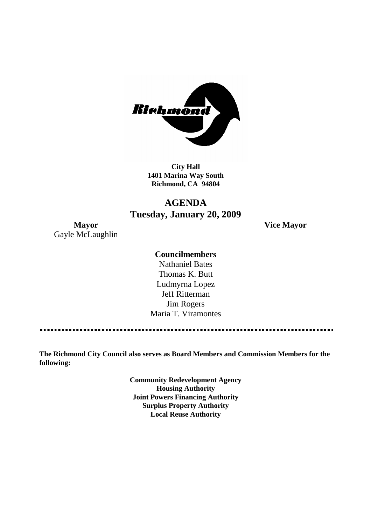

**City Hall 1401 Marina Way South Richmond, CA 94804**

# **AGENDA Tuesday, January 20, 2009**

**Mayor Vice Mayor** Gayle McLaughlin

# **Councilmembers**

Nathaniel Bates Thomas K. Butt Ludmyrna Lopez Jeff Ritterman Jim Rogers Maria T. Viramontes

**The Richmond City Council also serves as Board Members and Commission Members for the following:**

> **Community Redevelopment Agency Housing Authority Joint Powers Financing Authority Surplus Property Authority Local Reuse Authority**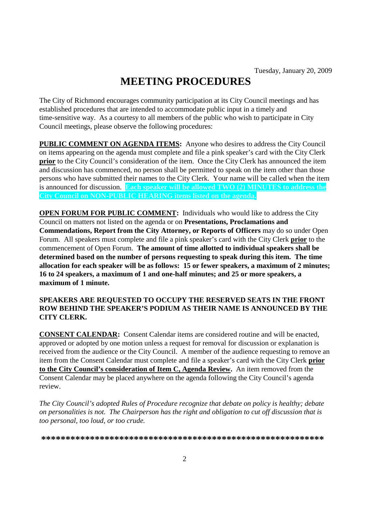# **MEETING PROCEDURES**

The City of Richmond encourages community participation at its City Council meetings and has established procedures that are intended to accommodate public input in a timely and time-sensitive way. As a courtesy to all members of the public who wish to participate in City Council meetings, please observe the following procedures:

**PUBLIC COMMENT ON AGENDA ITEMS:** Anyone who desires to address the City Council on items appearing on the agenda must complete and file a pink speaker's card with the City Clerk **prior** to the City Council's consideration of the item. Once the City Clerk has announced the item and discussion has commenced, no person shall be permitted to speak on the item other than those persons who have submitted their names to the City Clerk. Your name will be called when the item is announced for discussion. **Each speaker will be allowed TWO (2) MINUTES to address the City Council on NON-PUBLIC HEARING items listed on the agenda.**

**OPEN FORUM FOR PUBLIC COMMENT:** Individuals who would like to address the City Council on matters not listed on the agenda or on **Presentations, Proclamations and Commendations, Report from the City Attorney, or Reports of Officers** may do so under Open Forum. All speakers must complete and file a pink speaker's card with the City Clerk **prior** to the commencement of Open Forum. **The amount of time allotted to individual speakers shall be determined based on the number of persons requesting to speak during this item. The time allocation for each speaker will be as follows: 15 or fewer speakers, a maximum of 2 minutes; 16 to 24 speakers, a maximum of 1 and one-half minutes; and 25 or more speakers, a maximum of 1 minute.**

## **SPEAKERS ARE REQUESTED TO OCCUPY THE RESERVED SEATS IN THE FRONT ROW BEHIND THE SPEAKER'S PODIUM AS THEIR NAME IS ANNOUNCED BY THE CITY CLERK.**

**CONSENT CALENDAR:** Consent Calendar items are considered routine and will be enacted, approved or adopted by one motion unless a request for removal for discussion or explanation is received from the audience or the City Council. A member of the audience requesting to remove an item from the Consent Calendar must complete and file a speaker's card with the City Clerk **prior to the City Council's consideration of Item C, Agenda Review.** An item removed from the Consent Calendar may be placed anywhere on the agenda following the City Council's agenda review.

*The City Council's adopted Rules of Procedure recognize that debate on policy is healthy; debate on personalities is not. The Chairperson has the right and obligation to cut off discussion that is too personal, too loud, or too crude.*

**\*\*\*\*\*\*\*\*\*\*\*\*\*\*\*\*\*\*\*\*\*\*\*\*\*\*\*\*\*\*\*\*\*\*\*\*\*\*\*\*\*\*\*\*\*\*\*\*\*\*\*\*\*\*\*\*\*\***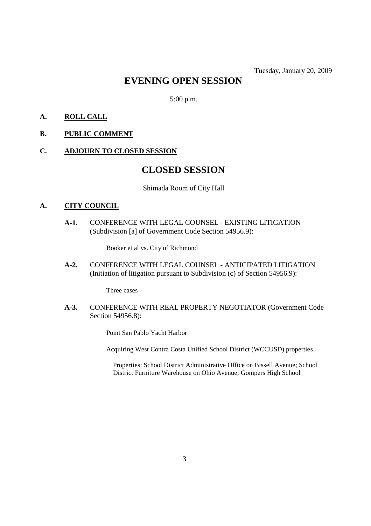# **EVENING OPEN SESSION**

5:00 p.m.

# **A. ROLL CALL**

# **B. PUBLIC COMMENT**

#### **C. ADJOURN TO CLOSED SESSION**

# **CLOSED SESSION**

#### Shimada Room of City Hall

#### **A. CITY COUNCIL**

**A-1.** CONFERENCE WITH LEGAL COUNSEL - EXISTING LITIGATION (Subdivision [a] of Government Code Section 54956.9):

Booker et al vs. City of Richmond

**A-2.** CONFERENCE WITH LEGAL COUNSEL - ANTICIPATED LITIGATION (Initiation of litigation pursuant to Subdivision (c) of Section 54956.9):

Three cases

**A-3.** CONFERENCE WITH REAL PROPERTY NEGOTIATOR (Government Code Section 54956.8):

Point San Pablo Yacht Harbor

Acquiring West Contra Costa Unified School District (WCCUSD) properties.

Properties: School District Administrative Office on Bissell Avenue; School District Furniture Warehouse on Ohio Avenue; Gompers High School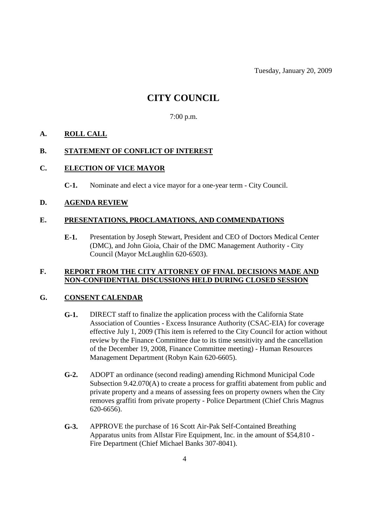Tuesday, January 20, 2009

# **CITY COUNCIL**

# 7:00 p.m.

# **A. ROLL CALL**

## **B. STATEMENT OF CONFLICT OF INTEREST**

# **C. ELECTION OF VICE MAYOR**

**C-1.** Nominate and elect a vice mayor for a one-year term - City Council.

## **D. AGENDA REVIEW**

## **E. PRESENTATIONS, PROCLAMATIONS, AND COMMENDATIONS**

**E-1.** Presentation by Joseph Stewart, President and CEO of Doctors Medical Center (DMC), and John Gioia, Chair of the DMC Management Authority - City Council (Mayor McLaughlin 620-6503).

## **F. REPORT FROM THE CITY ATTORNEY OF FINAL DECISIONS MADE AND NON-CONFIDENTIAL DISCUSSIONS HELD DURING CLOSED SESSION**

# **G. CONSENT CALENDAR**

- **G-1.** DIRECT staff to finalize the application process with the California State Association of Counties - Excess Insurance Authority (CSAC-EIA) for coverage effective July 1, 2009 (This item is referred to the City Council for action without review by the Finance Committee due to its time sensitivity and the cancellation of the December 19, 2008, Finance Committee meeting) - Human Resources Management Department (Robyn Kain 620-6605).
- **G-2.** ADOPT an ordinance (second reading) amending Richmond Municipal Code Subsection 9.42.070(A) to create a process for graffiti abatement from public and private property and a means of assessing fees on property owners when the City removes graffiti from private property - Police Department (Chief Chris Magnus 620-6656).
- **G-3.** APPROVE the purchase of 16 Scott Air-Pak Self-Contained Breathing Apparatus units from Allstar Fire Equipment, Inc. in the amount of \$54,810 - Fire Department (Chief Michael Banks 307-8041).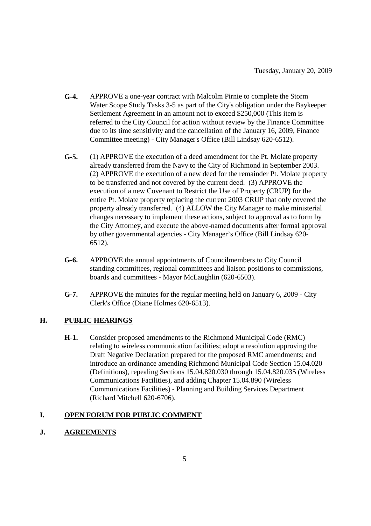- **G-4.** APPROVE a one-year contract with Malcolm Pirnie to complete the Storm Water Scope Study Tasks 3-5 as part of the City's obligation under the Baykeeper Settlement Agreement in an amount not to exceed \$250,000 (This item is referred to the City Council for action without review by the Finance Committee due to its time sensitivity and the cancellation of the January 16, 2009, Finance Committee meeting) - City Manager's Office (Bill Lindsay 620-6512).
- **G-5.** (1) APPROVE the execution of a deed amendment for the Pt. Molate property already transferred from the Navy to the City of Richmond in September 2003. (2) APPROVE the execution of a new deed for the remainder Pt. Molate property to be transferred and not covered by the current deed. (3) APPROVE the execution of a new Covenant to Restrict the Use of Property (CRUP) for the entire Pt. Molate property replacing the current 2003 CRUP that only covered the property already transferred. (4) ALLOW the City Manager to make ministerial changes necessary to implement these actions, subject to approval as to form by the City Attorney, and execute the above-named documents after formal approval by other governmental agencies - City Manager's Office (Bill Lindsay 620- 6512).
- **G-6.** APPROVE the annual appointments of Councilmembers to City Council standing committees, regional committees and liaison positions to commissions, boards and committees - Mayor McLaughlin (620-6503).
- **G-7.** APPROVE the minutes for the regular meeting held on January 6, 2009 City Clerk's Office (Diane Holmes 620-6513).

# **H. PUBLIC HEARINGS**

**H-1.** Consider proposed amendments to the Richmond Municipal Code (RMC) relating to wireless communication facilities; adopt a resolution approving the Draft Negative Declaration prepared for the proposed RMC amendments; and introduce an ordinance amending Richmond Municipal Code Section 15.04.020 (Definitions), repealing Sections 15.04.820.030 through 15.04.820.035 (Wireless Communications Facilities), and adding Chapter 15.04.890 (Wireless Communications Facilities) - Planning and Building Services Department (Richard Mitchell 620-6706).

# **I. OPEN FORUM FOR PUBLIC COMMENT**

# **J. AGREEMENTS**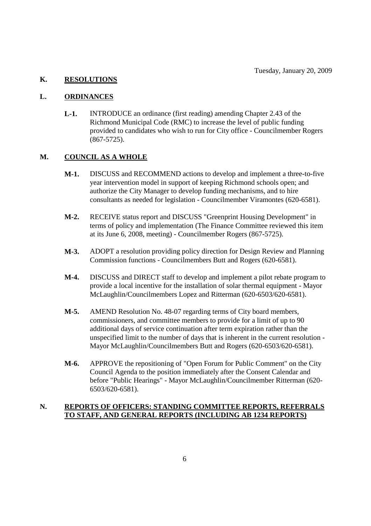# **K. RESOLUTIONS**

#### **L. ORDINANCES**

**L-1.** INTRODUCE an ordinance (first reading) amending Chapter 2.43 of the Richmond Municipal Code (RMC) to increase the level of public funding provided to candidates who wish to run for City office - Councilmember Rogers (867-5725).

## **M. COUNCIL AS A WHOLE**

- **M-1.** DISCUSS and RECOMMEND actions to develop and implement a three-to-five year intervention model in support of keeping Richmond schools open; and authorize the City Manager to develop funding mechanisms, and to hire consultants as needed for legislation - Councilmember Viramontes (620-6581).
- **M-2.** RECEIVE status report and DISCUSS "Greenprint Housing Development" in terms of policy and implementation (The Finance Committee reviewed this item at its June 6, 2008, meeting) - Councilmember Rogers (867-5725).
- **M-3.** ADOPT a resolution providing policy direction for Design Review and Planning Commission functions - Councilmembers Butt and Rogers (620-6581).
- **M-4.** DISCUSS and DIRECT staff to develop and implement a pilot rebate program to provide a local incentive for the installation of solar thermal equipment - Mayor McLaughlin/Councilmembers Lopez and Ritterman (620-6503/620-6581).
- **M-5.** AMEND Resolution No. 48-07 regarding terms of City board members, commissioners, and committee members to provide for a limit of up to 90 additional days of service continuation after term expiration rather than the unspecified limit to the number of days that is inherent in the current resolution - Mayor McLaughlin/Councilmembers Butt and Rogers (620-6503/620-6581).
- **M-6.** APPROVE the repositioning of "Open Forum for Public Comment" on the City Council Agenda to the position immediately after the Consent Calendar and before "Public Hearings" - Mayor McLaughlin/Councilmember Ritterman (620- 6503/620-6581).

# **N. REPORTS OF OFFICERS: STANDING COMMITTEE REPORTS, REFERRALS TO STAFF, AND GENERAL REPORTS (INCLUDING AB 1234 REPORTS)**